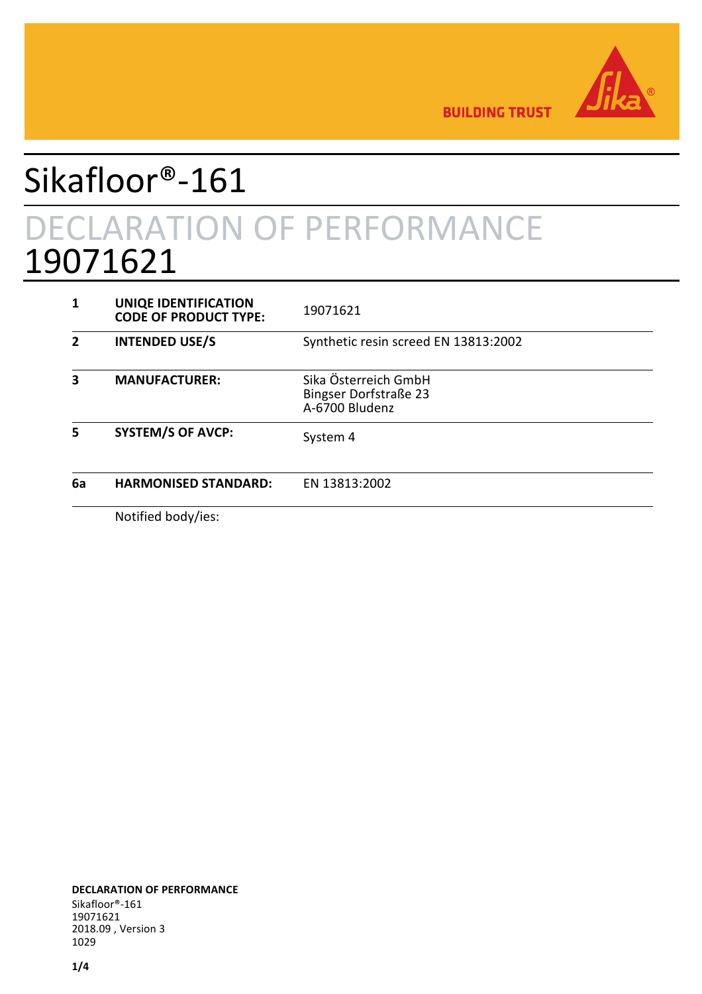

**BUILDING TRUST** 

## Sikafloor®-161 DECLARATION OF PERFORMANCE 19071621

|    | <b>UNIQE IDENTIFICATION</b><br><b>CODE OF PRODUCT TYPE:</b> | 19071621                                                               |
|----|-------------------------------------------------------------|------------------------------------------------------------------------|
| 2  | <b>INTENDED USE/S</b>                                       | Synthetic resin screed EN 13813:2002                                   |
|    | <b>MANUFACTURER:</b>                                        | Sika Österreich GmbH<br><b>Bingser Dorfstraße 23</b><br>A-6700 Bludenz |
| 5  | <b>SYSTEM/S OF AVCP:</b>                                    | System 4                                                               |
| 6a | <b>HARMONISED STANDARD:</b>                                 | EN 13813:2002                                                          |
|    | Notified hoduling                                           |                                                                        |

Notified body/ies: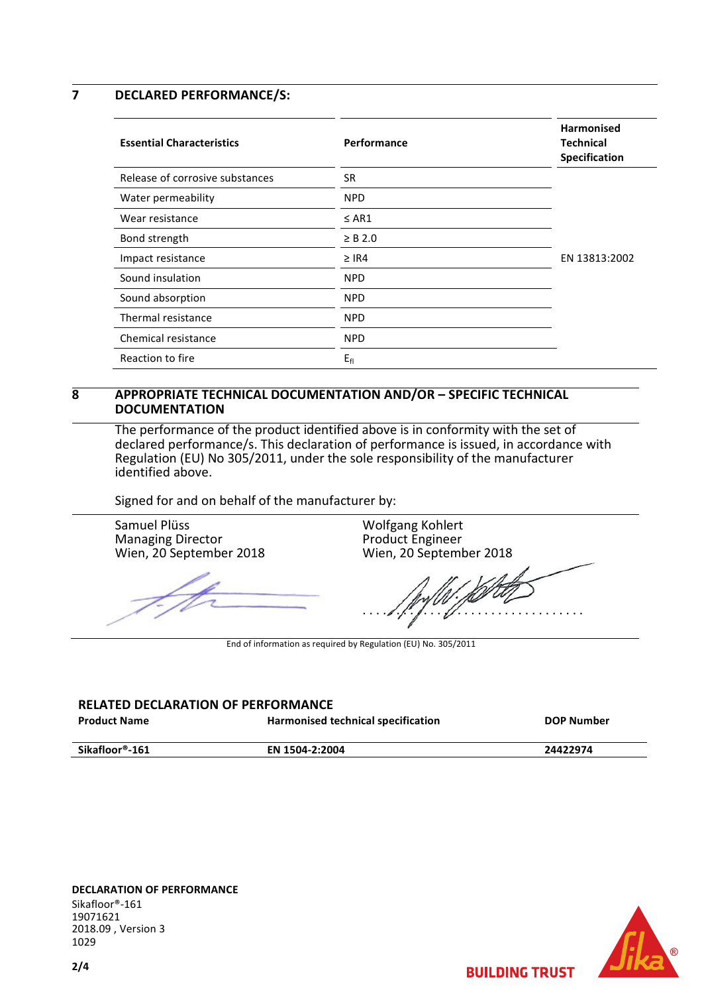## **7 DECLARED PERFORMANCE/S:**

| <b>Essential Characteristics</b> | Performance  | <b>Harmonised</b><br><b>Technical</b><br>Specification |
|----------------------------------|--------------|--------------------------------------------------------|
| Release of corrosive substances  | <b>SR</b>    |                                                        |
| Water permeability               | <b>NPD</b>   |                                                        |
| Wear resistance                  | $\leq$ AR1   |                                                        |
| Bond strength                    | $\geq$ B 2.0 |                                                        |
| Impact resistance                | $\geq$ IR4   | EN 13813:2002                                          |
| Sound insulation                 | <b>NPD</b>   |                                                        |
| Sound absorption                 | <b>NPD</b>   |                                                        |
| Thermal resistance               | <b>NPD</b>   |                                                        |
| Chemical resistance              | <b>NPD</b>   |                                                        |
| Reaction to fire                 | $E_{fl}$     |                                                        |

## **8 APPROPRIATE TECHNICAL DOCUMENTATION AND/OR – SPECIFIC TECHNICAL DOCUMENTATION**

The performance of the product identified above is in conformity with the set of declared performance/s. This declaration of performance is issued, in accordance with Regulation (EU) No 305/2011, under the sole responsibility of the manufacturer identified above.

Signed for and on behalf of the manufacturer by:

Samuel Plüss Managing Director Wien, 20 September 2018

 $\sqrt{\frac{1}{1-\rho^2}}$ 

Wolfgang Kohlert Product Engineer Wien, 20 September 2018

. . . . . . . . . . . . . . . . . . . . . . . . . . . . . . . . .

**BUILDING TRUST** 

End of information as required by Regulation (EU) No. 305/2011

## **RELATED DECLARATION OF PERFORMANCE**

| <b>Product Name</b> | Harmonised technical specification | <b>DOP Number</b> |
|---------------------|------------------------------------|-------------------|
|                     |                                    |                   |

**Sikafloor®-161 EN 1504-2:2004 24422974** 

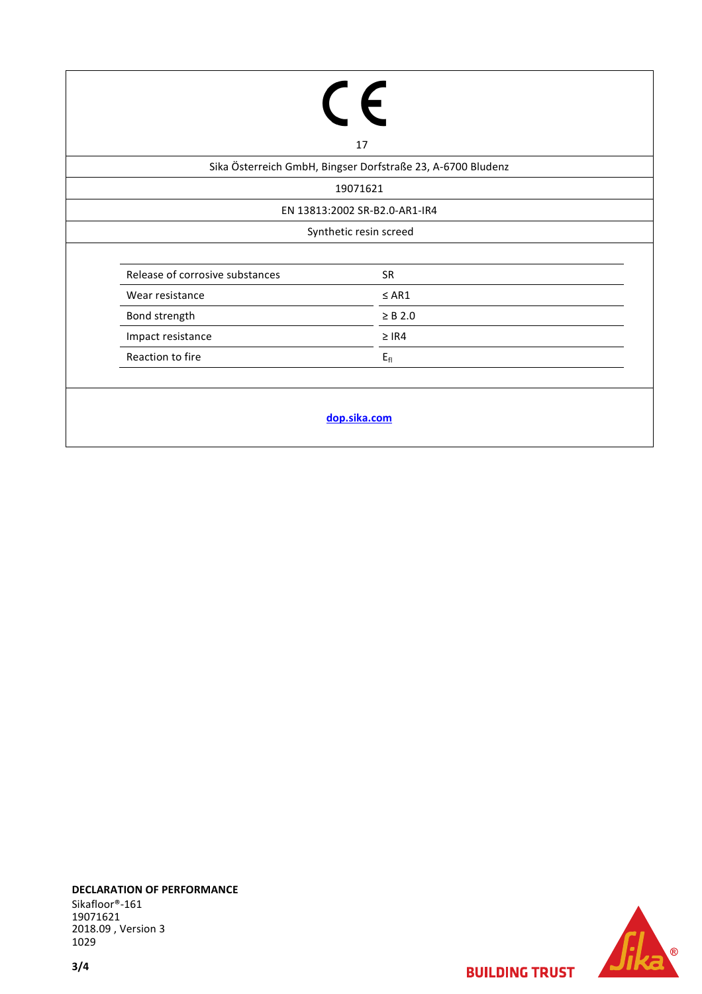| 17                                                          |              |  |  |  |
|-------------------------------------------------------------|--------------|--|--|--|
| Sika Österreich GmbH, Bingser Dorfstraße 23, A-6700 Bludenz |              |  |  |  |
| 19071621                                                    |              |  |  |  |
| EN 13813:2002 SR-B2.0-AR1-IR4                               |              |  |  |  |
| Synthetic resin screed                                      |              |  |  |  |
| Release of corrosive substances                             | SR           |  |  |  |
| Wear resistance                                             | $\leq AR1$   |  |  |  |
| Bond strength                                               | $\geq$ B 2.0 |  |  |  |
| Impact resistance                                           | $\geq$ IR4   |  |  |  |
| Reaction to fire                                            | $E_{fl}$     |  |  |  |
|                                                             |              |  |  |  |
| dop.sika.com                                                |              |  |  |  |